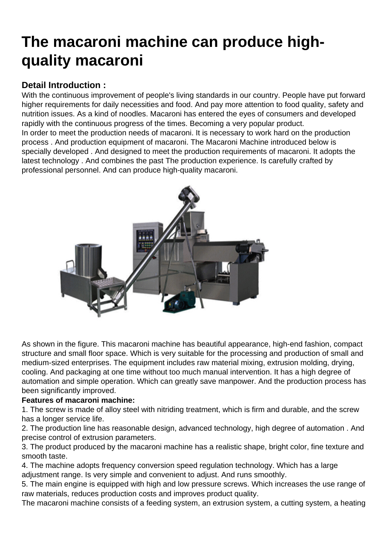## [The macaroni machine can produce high](https://www.foodmachineryint.com/blog/the-macaroni-machine-can-produce-high-quality-macaroni.html)quality macaroni

## Detail Introduction :

With the continuous improvement of people's living standards in our country. People have put forward higher requirements for daily necessities and food. And pay more attention to food quality, safety and nutrition issues. As a kind of noodles. Macaroni has entered the eyes of consumers and developed rapidly with the continuous progress of the times. Becoming a very popular product. In order to meet the production needs of macaroni. It is necessary to work hard on the production process . And production equipment of macaroni. The Macaroni Machine introduced below is specially developed . And designed to meet the production requirements of macaroni. It adopts the latest technology . And combines the past The production experience. Is carefully crafted by professional personnel. And can produce high-quality macaroni.

As shown in the figure. This macaroni machine has beautiful appearance, high-end fashion, compact structure and small floor space. Which is very suitable for the processing and production of small and medium-sized enterprises. The equipment includes raw material mixing, extrusion molding, drying, cooling. And packaging at one time without too much manual intervention. It has a high degree of automation and simple operation. Which can greatly save manpower. And the production process has been significantly improved.

Features of macaroni machine:

1. The screw is made of alloy steel with nitriding treatment, which is firm and durable, and the screw has a longer service life.

2. The production line has reasonable design, advanced technology, high degree of automation . And precise control of extrusion parameters.

3. The product produced by the macaroni machine has a realistic shape, bright color, fine texture and smooth taste.

4. The machine adopts frequency conversion speed regulation technology. Which has a large adjustment range. Is very simple and convenient to adjust. And runs smoothly.

5. The main engine is equipped with high and low pressure screws. Which increases the use range of raw materials, reduces production costs and improves product quality.

The macaroni machine consists of a feeding system, an extrusion system, a cutting system, a heating